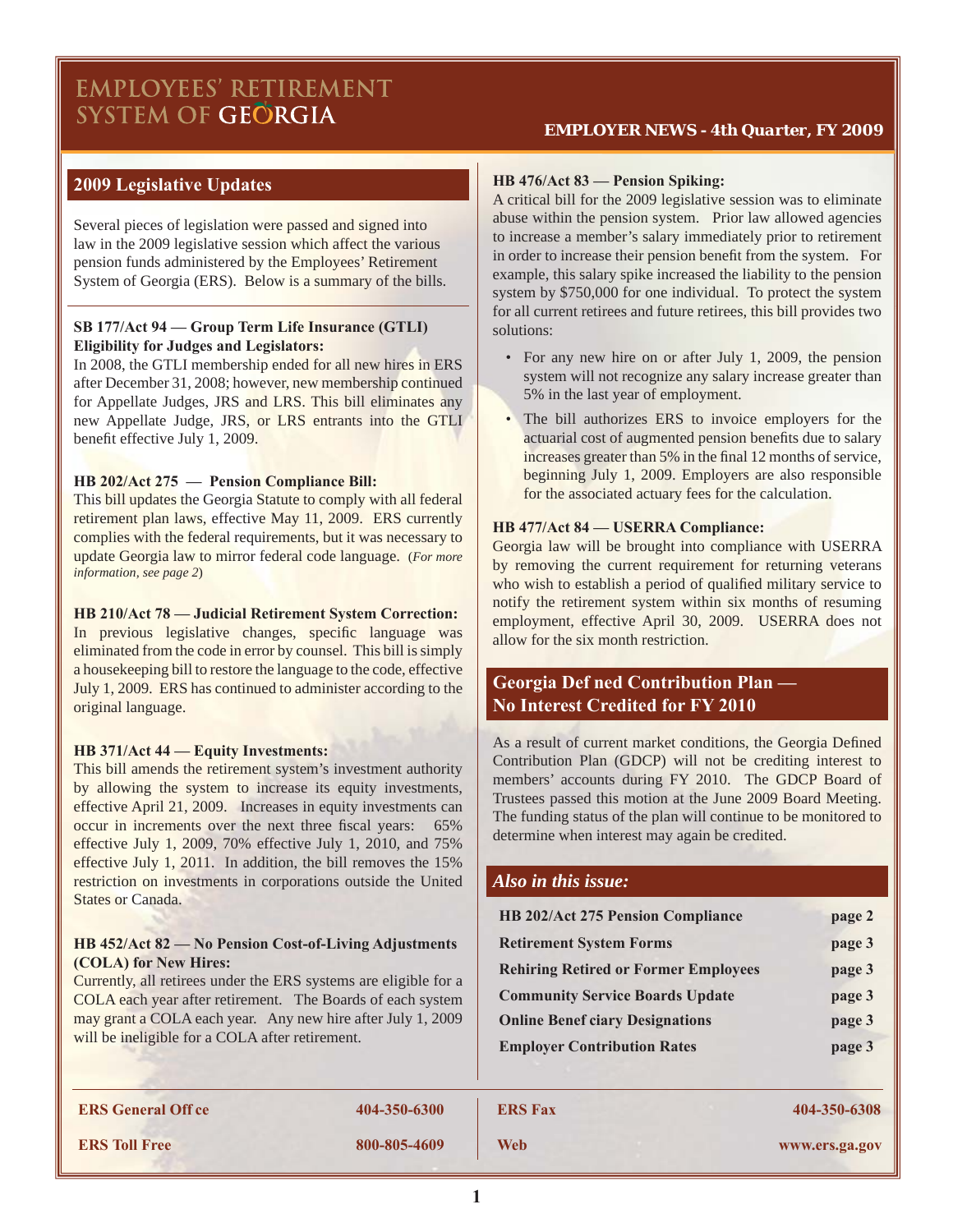# **EMPLOYEES' RETIREMENT** SYSTEM OF GEORGIA

### *EMPLOYER NEWS - 4th Quarter, FY 2009*

# **2009 Legislative Updates**

Several pieces of legislation were passed and signed into law in the 2009 legislative session which affect the various pension funds administered by the Employees' Retirement System of Georgia (ERS). Below is a summary of the bills.

#### **SB 177/Act 94 — Group Term Life Insurance (GTLI) Eligibility for Judges and Legislators:**

In 2008, the GTLI membership ended for all new hires in ERS after December 31, 2008; however, new membership continued for Appellate Judges, JRS and LRS. This bill eliminates any new Appellate Judge, JRS, or LRS entrants into the GTLI benefit effective July 1, 2009.

#### **HB 202/Act 275 — Pension Compliance Bill:**

This bill updates the Georgia Statute to comply with all federal retirement plan laws, effective May 11, 2009. ERS currently complies with the federal requirements, but it was necessary to update Georgia law to mirror federal code language. (*For more information, see page 2*)

#### **HB 210/Act 78 — Judicial Retirement System Correction:**

In previous legislative changes, specific language was eliminated from the code in error by counsel. This bill is simply a housekeeping bill to restore the language to the code, effective July 1, 2009. ERS has continued to administer according to the original language.

#### **HB 371/Act 44 — Equity Investments:**

This bill amends the retirement system's investment authority by allowing the system to increase its equity investments, effective April 21, 2009. Increases in equity investments can occur in increments over the next three fiscal years: 65% effective July 1, 2009, 70% effective July 1, 2010, and 75% effective July 1, 2011. In addition, the bill removes the 15% restriction on investments in corporations outside the United States or Canada.

### **HB 452/Act 82 — No Pension Cost-of-Living Adjustments (COLA) for New Hires:**

Currently, all retirees under the ERS systems are eligible for a COLA each year after retirement. The Boards of each system may grant a COLA each year. Any new hire after July 1, 2009 will be ineligible for a COLA after retirement.

#### **HB 476/Act 83 — Pension Spiking:**

A critical bill for the 2009 legislative session was to eliminate abuse within the pension system. Prior law allowed agencies to increase a member's salary immediately prior to retirement in order to increase their pension benefit from the system. For example, this salary spike increased the liability to the pension system by \$750,000 for one individual. To protect the system for all current retirees and future retirees, this bill provides two solutions:

- For any new hire on or after July 1, 2009, the pension system will not recognize any salary increase greater than 5% in the last year of employment.
- The bill authorizes ERS to invoice employers for the actuarial cost of augmented pension benefits due to salary increases greater than 5% in the final 12 months of service, beginning July 1, 2009. Employers are also responsible for the associated actuary fees for the calculation.

#### **HB 477/Act 84 — USERRA Compliance:**

Georgia law will be brought into compliance with USERRA by removing the current requirement for returning veterans who wish to establish a period of qualified military service to notify the retirement system within six months of resuming employment, effective April 30, 2009. USERRA does not allow for the six month restriction.

# **Georgia Def ned Contribution Plan — No Interest Credited for FY 2010**

As a result of current market conditions, the Georgia Defined Contribution Plan (GDCP) will not be crediting interest to members' accounts during FY 2010. The GDCP Board of Trustees passed this motion at the June 2009 Board Meeting. The funding status of the plan will continue to be monitored to determine when interest may again be credited.

### *Also in this issue:*

| <b>HB 202/Act 275 Pension Compliance</b>    | page 2 |
|---------------------------------------------|--------|
| <b>Retirement System Forms</b>              | page 3 |
| <b>Rehiring Retired or Former Employees</b> | page 3 |
| <b>Community Service Boards Update</b>      | page 3 |
| <b>Online Benef ciary Designations</b>      | page 3 |
| <b>Employer Contribution Rates</b>          | page 3 |

**ERS General Off ce 404-350-6300 ERS Fax 404-350-6308 ERS Toll Free 800-805-4609 Web www.ers.ga.gov**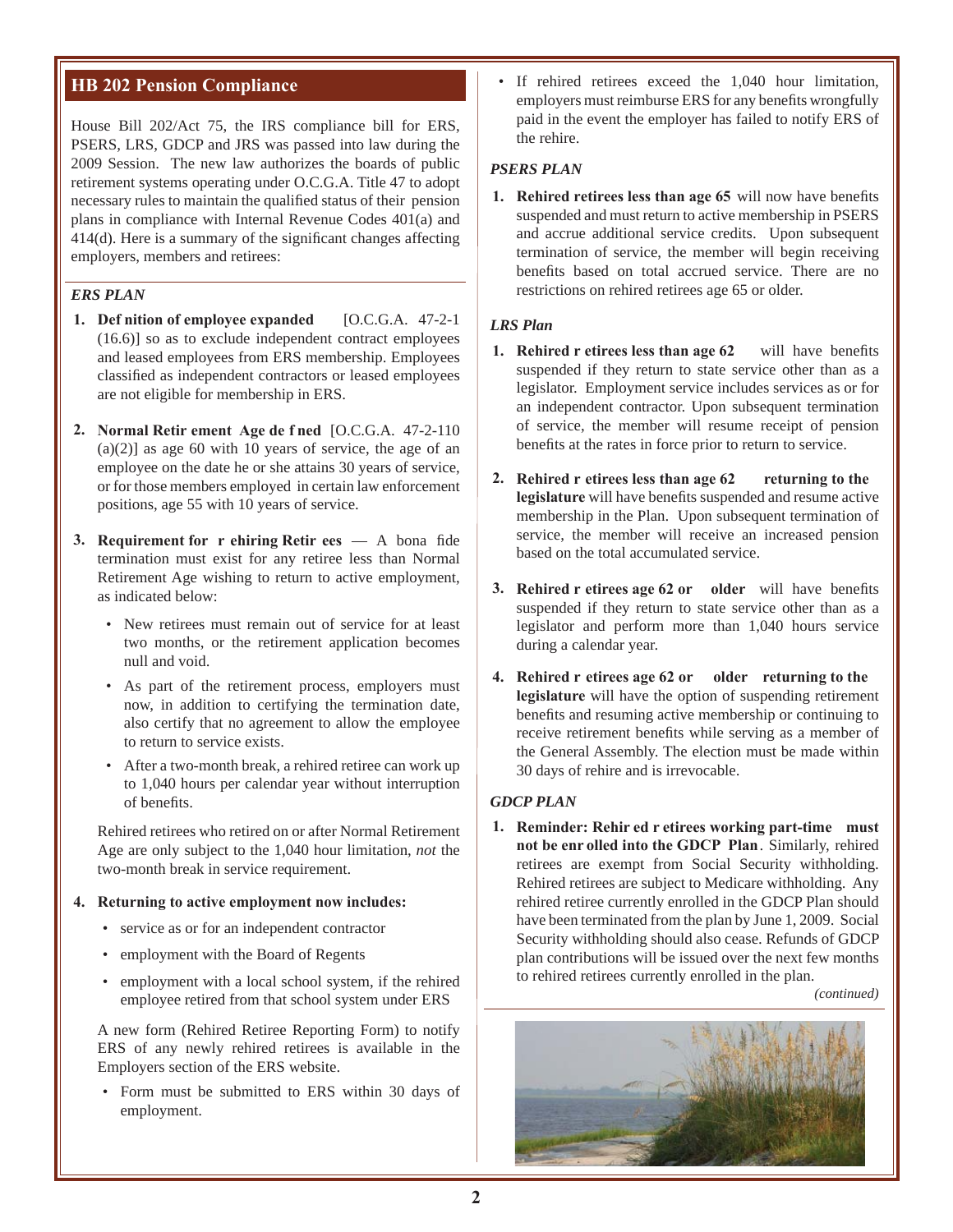# **HB 202 Pension Compliance**

House Bill 202/Act 75, the IRS compliance bill for ERS, PSERS, LRS, GDCP and JRS was passed into law during the 2009 Session. The new law authorizes the boards of public retirement systems operating under O.C.G.A. Title 47 to adopt necessary rules to maintain the qualified status of their pension plans in compliance with Internal Revenue Codes 401(a) and  $414(d)$ . Here is a summary of the significant changes affecting employers, members and retirees:

### *ERS PLAN*

- **1. Def nition of employee expanded** [O.C.G.A. 47-2-1 (16.6)] so as to exclude independent contract employees and leased employees from ERS membership. Employees classified as independent contractors or leased employees are not eligible for membership in ERS.
- **2. Normal Retir ement Age de f ned** [O.C.G.A. 47-2-110  $(a)(2)$ ] as age 60 with 10 years of service, the age of an employee on the date he or she attains 30 years of service, or for those members employed in certain law enforcement positions, age 55 with 10 years of service.
- **3.** Requirement for r ehiring Retir ees A bona fide termination must exist for any retiree less than Normal Retirement Age wishing to return to active employment, as indicated below:
	- New retirees must remain out of service for at least two months, or the retirement application becomes null and void.
	- As part of the retirement process, employers must now, in addition to certifying the termination date, also certify that no agreement to allow the employee to return to service exists.
	- After a two-month break, a rehired retiree can work up to 1,040 hours per calendar year without interruption of benefits

Rehired retirees who retired on or after Normal Retirement Age are only subject to the 1,040 hour limitation, *not* the two-month break in service requirement.

#### **4. Returning to active employment now includes:**

- service as or for an independent contractor
- employment with the Board of Regents
- employment with a local school system, if the rehired employee retired from that school system under ERS

A new form (Rehired Retiree Reporting Form) to notify ERS of any newly rehired retirees is available in the Employers section of the ERS website.

• Form must be submitted to ERS within 30 days of employment.

If rehired retirees exceed the 1,040 hour limitation, employers must reimburse ERS for any benefits wrongfully paid in the event the employer has failed to notify ERS of the rehire.

#### *PSERS PLAN*

**1. Rehired retirees less than age 65** will now have benefits suspended and must return to active membership in PSERS and accrue additional service credits. Upon subsequent termination of service, the member will begin receiving benefits based on total accrued service. There are no restrictions on rehired retirees age 65 or older.

### *LRS Plan*

- **1. Rehired r etirees less than age 62** will have benefits suspended if they return to state service other than as a legislator. Employment service includes services as or for an independent contractor. Upon subsequent termination of service, the member will resume receipt of pension benefits at the rates in force prior to return to service.
- **2. Rehired r etirees less than age 62 returning to the**  legislature will have benefits suspended and resume active membership in the Plan. Upon subsequent termination of service, the member will receive an increased pension based on the total accumulated service.
- **3. Rehired r etirees age 62 or older** will have benefits suspended if they return to state service other than as a legislator and perform more than 1,040 hours service during a calendar year.
- **4. Rehired r etirees age 62 or older returning to the legislature** will have the option of suspending retirement benefits and resuming active membership or continuing to receive retirement benefits while serving as a member of the General Assembly. The election must be made within 30 days of rehire and is irrevocable.

#### *GDCP PLAN*

**1. Reminder: Rehir ed r etirees working part-time must not be enr olled into the GDCP Plan**. Similarly, rehired retirees are exempt from Social Security withholding. Rehired retirees are subject to Medicare withholding. Any rehired retiree currently enrolled in the GDCP Plan should have been terminated from the plan by June 1, 2009. Social Security withholding should also cease. Refunds of GDCP plan contributions will be issued over the next few months to rehired retirees currently enrolled in the plan.

*(continued)*